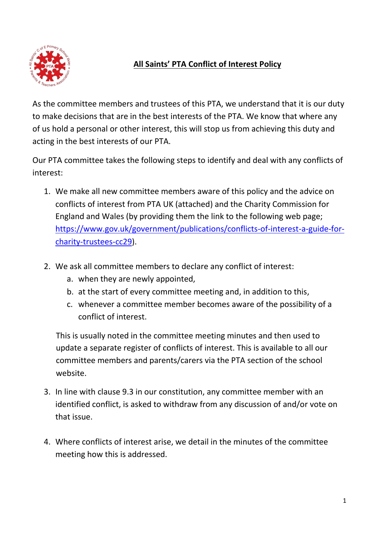

## **All Saints' PTA Conflict of Interest Policy**

As the committee members and trustees of this PTA, we understand that it is our duty to make decisions that are in the best interests of the PTA. We know that where any of us hold a personal or other interest, this will stop us from achieving this duty and acting in the best interests of our PTA.

Our PTA committee takes the following steps to identify and deal with any conflicts of interest:

- 1. We make all new committee members aware of this policy and the advice on conflicts of interest from PTA UK (attached) and the Charity Commission for England and Wales (by providing them the link to the following web page; [https://www.gov.uk/government/publications/conflicts-of-interest-a-guide-for](https://www.gov.uk/government/publications/conflicts-of-interest-a-guide-for-charity-trustees-cc29)[charity-trustees-cc29\)](https://www.gov.uk/government/publications/conflicts-of-interest-a-guide-for-charity-trustees-cc29).
- 2. We ask all committee members to declare any conflict of interest:
	- a. when they are newly appointed,
	- b. at the start of every committee meeting and, in addition to this,
	- c. whenever a committee member becomes aware of the possibility of a conflict of interest.

This is usually noted in the committee meeting minutes and then used to update a separate register of conflicts of interest. This is available to all our committee members and parents/carers via the PTA section of the school website.

- 3. In line with clause 9.3 in our constitution, any committee member with an identified conflict, is asked to withdraw from any discussion of and/or vote on that issue.
- 4. Where conflicts of interest arise, we detail in the minutes of the committee meeting how this is addressed.